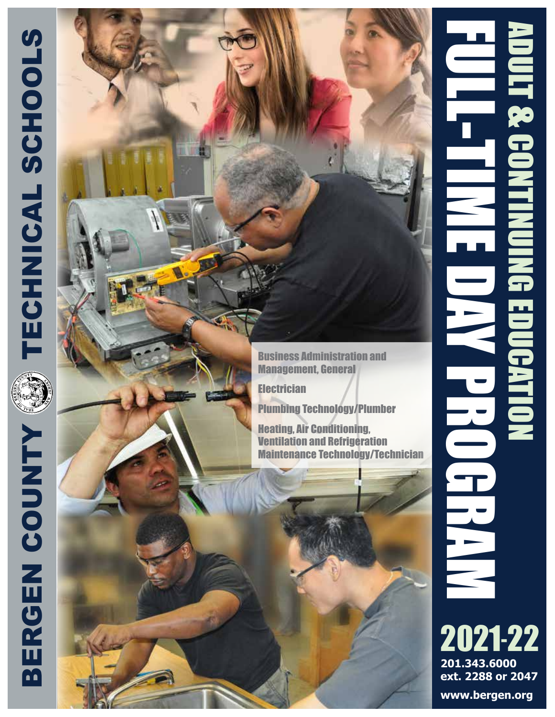

**Electrician** 

Plumbing Technology/Plumber

Heating, Air Conditioning, Ventilation and Refrigeration Maintenance Technology/Technician



2021 -22 **201.343.6000 ext. 2288 or 2047**

**www.bergen.org**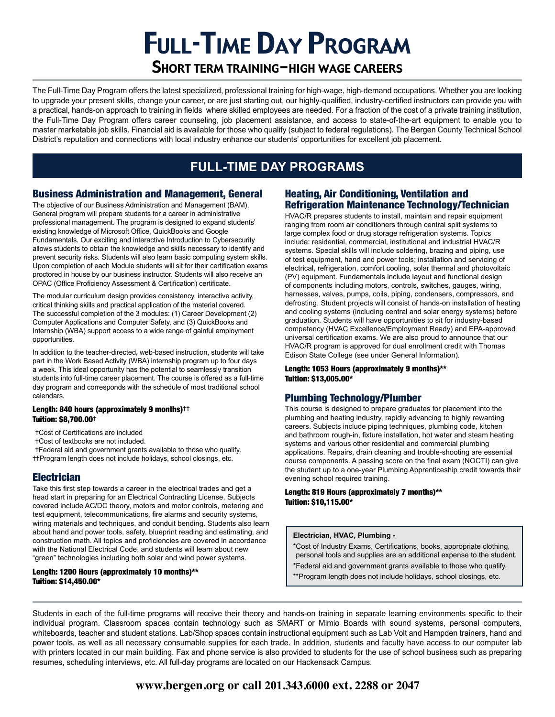# Full-Time Day Program

# Short term training-high wage careers

The Full-Time Day Program offers the latest specialized, professional training for high-wage, high-demand occupations. Whether you are looking to upgrade your present skills, change your career, or are just starting out, our highly-qualified, industry-certified instructors can provide you with a practical, hands-on approach to training in fields where skilled employees are needed. For a fraction of the cost of a private training institution, the Full-Time Day Program offers career counseling, job placement assistance, and access to state-of-the-art equipment to enable you to master marketable job skills. Financial aid is available for those who qualify (subject to federal regulations). The Bergen County Technical School District's reputation and connections with local industry enhance our students' opportunities for excellent job placement.

# **FULL-TIME DAY PROGRAMS**

# Business Administration and Management, General

The objective of our Business Administration and Management (BAM), General program will prepare students for a career in administrative professional management. The program is designed to expand students' existing knowledge of Microsoft Office, QuickBooks and Google Fundamentals. Our exciting and interactive Introduction to Cybersecurity allows students to obtain the knowledge and skills necessary to identify and prevent security risks. Students will also learn basic computing system skills. Upon completion of each Module students will sit for their certification exams proctored in house by our business instructor. Students will also receive an OPAC (Office Proficiency Assessment & Certification) certificate.

The modular curriculum design provides consistency, interactive activity, critical thinking skills and practical application of the material covered. The successful completion of the 3 modules: (1) Career Development (2) Computer Applications and Computer Safety, and (3) QuickBooks and Internship (WBA) support access to a wide range of gainful employment opportunities.

In addition to the teacher-directed, web-based instruction, students will take part in the Work Based Activity (WBA) internship program up to four days a week. This ideal opportunity has the potential to seamlessly transition students into full-time career placement. The course is offered as a full-time day program and corresponds with the schedule of most traditional school calendars.

#### Length: 840 hours (approximately 9 months)<sup>++</sup> Tuition: \$8,700.00✝

- ✝Cost of Certifications are included
- ✝Cost of textbooks are not included.
- ✝Federal aid and government grants available to those who qualify. ✝✝Program length does not include holidays, school closings, etc.

# Electrician

Take this first step towards a career in the electrical trades and get a head start in preparing for an Electrical Contracting License. Subjects covered include AC/DC theory, motors and motor controls, metering and test equipment, telecommunications, fire alarms and security systems, wiring materials and techniques, and conduit bending. Students also learn about hand and power tools, safety, blueprint reading and estimating, and construction math. All topics and proficiencies are covered in accordance with the National Electrical Code, and students will learn about new "green" technologies including both solar and wind power systems.

#### Length: 1200 Hours (approximately 10 months)\*\* Tuition: \$14,450.00\*

### Heating, Air Conditioning, Ventilation and Refrigeration Maintenance Technology/Technician

HVAC/R prepares students to install, maintain and repair equipment ranging from room air conditioners through central split systems to large complex food or drug storage refrigeration systems. Topics include: residential, commercial, institutional and industrial HVAC/R systems. Special skills will include soldering, brazing and piping, use of test equipment, hand and power tools; installation and servicing of electrical, refrigeration, comfort cooling, solar thermal and photovoltaic (PV) equipment. Fundamentals include layout and functional design of components including motors, controls, switches, gauges, wiring, harnesses, valves, pumps, coils, piping, condensers, compressors, and defrosting. Student projects will consist of hands-on installation of heating and cooling systems (including central and solar energy systems) before graduation. Students will have opportunities to sit for industry-based competency (HVAC Excellence/Employment Ready) and EPA-approved universal certification exams. We are also proud to announce that our HVAC/R program is approved for dual enrollment credit with Thomas Edison State College (see under General Information).

#### Length: 1053 Hours (approximately 9 months)\*\* Tuition: \$13,005.00\*

# Plumbing Technology/Plumber

This course is designed to prepare graduates for placement into the plumbing and heating industry, rapidly advancing to highly rewarding careers. Subjects include piping techniques, plumbing code, kitchen and bathroom rough-in, fixture installation, hot water and steam heating systems and various other residential and commercial plumbing applications. Repairs, drain cleaning and trouble-shooting are essential course components. A passing score on the final exam (NOCTI) can give the student up to a one-year Plumbing Apprenticeship credit towards their evening school required training.

#### Length: 819 Hours (approximately 7 months)\*\* Tuition: \$10,115.00\*

#### **Electrician, HVAC, Plumbing -**

- \*Cost of Industry Exams, Certifications, books, appropriate clothing, personal tools and supplies are an additional expense to the student.
- \*Federal aid and government grants available to those who qualify.
- \*\*Program length does not include holidays, school closings, etc.

Students in each of the full-time programs will receive their theory and hands-on training in separate learning environments specific to their individual program. Classroom spaces contain technology such as SMART or Mimio Boards with sound systems, personal computers, whiteboards, teacher and student stations. Lab/Shop spaces contain instructional equipment such as Lab Volt and Hampden trainers, hand and power tools, as well as all necessary consumable supplies for each trade. In addition, students and faculty have access to our computer lab with printers located in our main building. Fax and phone service is also provided to students for the use of school business such as preparing resumes, scheduling interviews, etc. All full-day programs are located on our Hackensack Campus.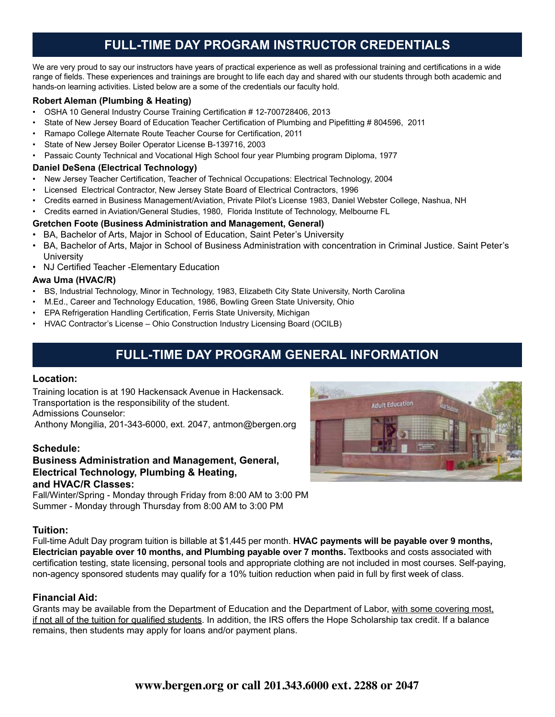# **FULL-TIME DAY PROGRAM INSTRUCTOR CREDENTIALS**

We are very proud to say our instructors have years of practical experience as well as professional training and certifications in a wide range of fields. These experiences and trainings are brought to life each day and shared with our students through both academic and hands-on learning activities. Listed below are a some of the credentials our faculty hold.

### **Robert Aleman (Plumbing & Heating)**

- OSHA 10 General Industry Course Training Certification # 12-700728406, 2013
- State of New Jersey Board of Education Teacher Certification of Plumbing and Pipefitting # 804596, 2011
- Ramapo College Alternate Route Teacher Course for Certification, 2011
- State of New Jersey Boiler Operator License B-139716, 2003
- Passaic County Technical and Vocational High School four year Plumbing program Diploma, 1977

### **Daniel DeSena (Electrical Technology)**

- New Jersey Teacher Certification, Teacher of Technical Occupations: Electrical Technology, 2004
- Licensed Electrical Contractor, New Jersey State Board of Electrical Contractors, 1996
- Credits earned in Business Management/Aviation, Private Pilot's License 1983, Daniel Webster College, Nashua, NH
- Credits earned in Aviation/General Studies, 1980, Florida Institute of Technology, Melbourne FL

### **Gretchen Foote (Business Administration and Management, General)**

- BA, Bachelor of Arts, Major in School of Education, Saint Peter's University
- BA, Bachelor of Arts, Major in School of Business Administration with concentration in Criminal Justice. Saint Peter's **University**
- NJ Certified Teacher -Elementary Education

### **Awa Uma (HVAC/R)**

- BS, Industrial Technology, Minor in Technology, 1983, Elizabeth City State University, North Carolina
- M.Ed., Career and Technology Education, 1986, Bowling Green State University, Ohio
- EPA Refrigeration Handling Certification, Ferris State University, Michigan
- HVAC Contractor's License Ohio Construction Industry Licensing Board (OCILB)

# **FULL-TIME DAY PROGRAM GENERAL INFORMATION**

### **Location:**

Training location is at 190 Hackensack Avenue in Hackensack. Transportation is the responsibility of the student. Admissions Counselor:

Anthony Mongilia, 201-343-6000, ext. 2047, antmon@bergen.org

### **Schedule:**

### **Business Administration and Management, General, Electrical Technology, Plumbing & Heating, and HVAC/R Classes:**

Fall/Winter/Spring - Monday through Friday from 8:00 AM to 3:00 PM Summer - Monday through Thursday from 8:00 AM to 3:00 PM

### **Tuition:**

Full-time Adult Day program tuition is billable at \$1,445 per month. **HVAC payments will be payable over 9 months, Electrician payable over 10 months, and Plumbing payable over 7 months.** Textbooks and costs associated with certification testing, state licensing, personal tools and appropriate clothing are not included in most courses. Self-paying, non-agency sponsored students may qualify for a 10% tuition reduction when paid in full by first week of class.

### **Financial Aid:**

Grants may be available from the Department of Education and the Department of Labor, with some covering most, if not all of the tuition for qualified students. In addition, the IRS offers the Hope Scholarship tax credit. If a balance remains, then students may apply for loans and/or payment plans.